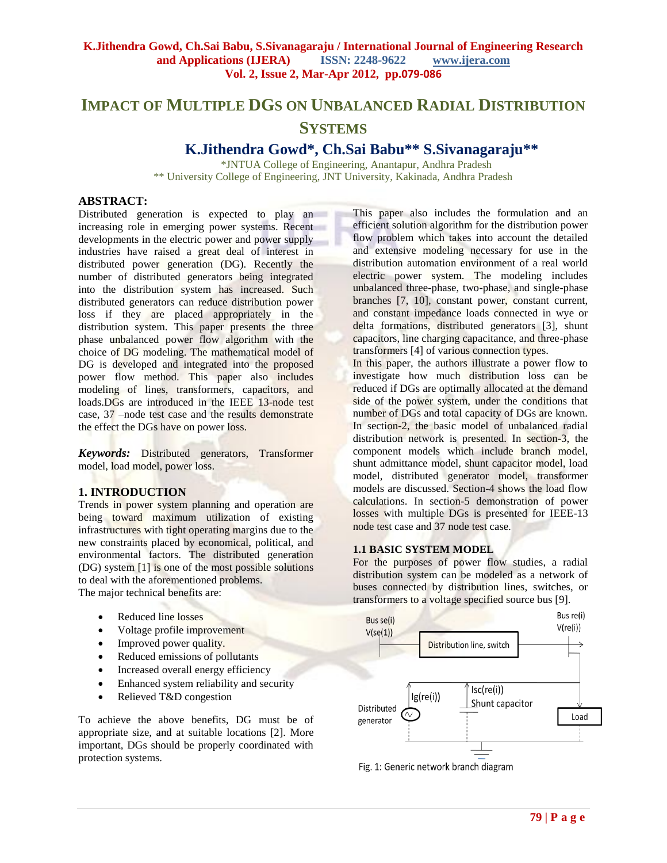# **IMPACT OF MULTIPLE DGS ON UNBALANCED RADIAL DISTRIBUTION SYSTEMS**

## **K.Jithendra Gowd\*, Ch.Sai Babu\*\* S.Sivanagaraju\*\***

\*JNTUA College of Engineering, Anantapur, Andhra Pradesh \*\* University College of Engineering, JNT University, Kakinada, Andhra Pradesh

## **ABSTRACT:**

Distributed generation is expected to play an increasing role in emerging power systems. Recent developments in the electric power and power supply industries have raised a great deal of interest in distributed power generation (DG). Recently the number of distributed generators being integrated into the distribution system has increased. Such distributed generators can reduce distribution power loss if they are placed appropriately in the distribution system. This paper presents the three phase unbalanced power flow algorithm with the choice of DG modeling. The mathematical model of DG is developed and integrated into the proposed power flow method. This paper also includes modeling of lines, transformers, capacitors, and loads. DGs are introduced in the IEEE 13-node test case, 37 –node test case and the results demonstrate the effect the DGs have on power loss.

*Keywords:* Distributed generators, Transformer model, load model, power loss.

## **1. INTRODUCTION**

Trends in power system planning and operation are being toward maximum utilization of existing infrastructures with tight operating margins due to the new constraints placed by economical, political, and environmental factors. The distributed generation (DG) system [1] is one of the most possible solutions to deal with the aforementioned problems. The major technical benefits are:

- Reduced line losses
- Voltage profile improvement
- Improved power quality.
- Reduced emissions of pollutants
- Increased overall energy efficiency
- Enhanced system reliability and security
- Relieved T&D congestion

To achieve the above benefits, DG must be of appropriate size, and at suitable locations [2]. More important, DGs should be properly coordinated with protection systems.

This paper also includes the formulation and an efficient solution algorithm for the distribution power flow problem which takes into account the detailed and extensive modeling necessary for use in the distribution automation environment of a real world electric power system. The modeling includes unbalanced three-phase, two-phase, and single-phase branches [7, 10], constant power, constant current, and constant impedance loads connected in wye or delta formations, distributed generators [3], shunt capacitors, line charging capacitance, and three-phase transformers [4] of various connection types.

In this paper, the authors illustrate a power flow to investigate how much distribution loss can be reduced if DGs are optimally allocated at the demand side of the power system, under the conditions that number of DGs and total capacity of DGs are known. In section-2, the basic model of unbalanced radial distribution network is presented. In section-3, the component models which include branch model, shunt admittance model, shunt capacitor model, load model, distributed generator model, transformer models are discussed. Section-4 shows the load flow calculations. In section-5 demonstration of power losses with multiple DGs is presented for IEEE-13 node test case and 37 node test case.

## **1.1 BASIC SYSTEM MODEL**

For the purposes of power flow studies, a radial distribution system can be modeled as a network of buses connected by distribution lines, switches, or transformers to a voltage specified source bus [9].



Fig. 1: Generic network branch diagram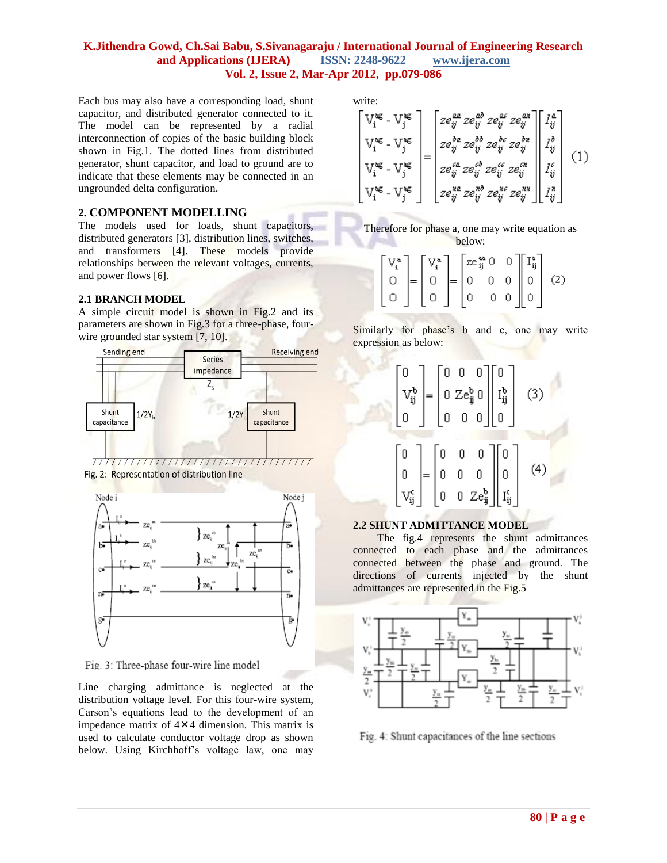Each bus may also have a corresponding load, shunt capacitor, and distributed generator connected to it. The model can be represented by a radial interconnection of copies of the basic building block shown in Fig.1. The dotted lines from distributed generator, shunt capacitor, and load to ground are to indicate that these elements may be connected in an ungrounded delta configuration.

## **2. COMPONENT MODELLING**

The models used for loads, shunt capacitors, distributed generators [3], distribution lines, switches, and transformers [4]. These models provide relationships between the relevant voltages, currents, and power flows [6].

## **2.1 BRANCH MODEL**

A simple circuit model is shown in Fig.2 and its parameters are shown in Fig.3 for a three-phase, fourwire grounded star system [7, 10].



Fig. 2: Representation of distribution line



Fig. 3: Three-phase four-wire line model

Line charging admittance is neglected at the distribution voltage level. For this four-wire system, Carson's equations lead to the development of an impedance matrix of  $4 \times 4$  dimension. This matrix is used to calculate conductor voltage drop as shown below. Using Kirchhoff's voltage law, one may

write:

$$
\begin{bmatrix}\nV_1^{ag} - V_j^{ag} \\
V_1^{ag} - V_j^{ag}\n\end{bmatrix} = \begin{bmatrix}\nze_{ij}^{aa} ze_{ij}^{ab} ze_{ij}^{ac} ze_{ij}^{ca}\n\end{bmatrix} \begin{bmatrix}\nI_{ij}^{a} \\
I_{ij}^{b} \\
I_{ij}^{b} \\
I_{ij}^{b} \\
I_{ij}^{b} \\
I_{ij}^{c} \\
I_{ij}^{c} \\
I_{ij}^{d} \\
I_{ij}^{d} \\
I_{ij}^{d} \\
I_{ij}^{d} \\
I_{ij}^{d} \\
I_{ij}^{d} \\
I_{ij}^{d} \\
I_{ij}^{d} \\
I_{ij}^{d} \\
I_{ij}^{d} \\
I_{ij}^{d} \\
I_{ij}^{d} \\
I_{ij}^{d} \\
I_{ij}^{d} \\
I_{ij}^{d} \\
I_{ij}^{d}\n\end{bmatrix} (1)
$$



|  |  |  |  | $\begin{bmatrix} V_i^a \\ 0 \\ 0 \end{bmatrix} = \begin{bmatrix} V_i^a \\ 0 \\ 0 \end{bmatrix} = \begin{bmatrix} ze_{ij}^{aa} 0 & 0 \\ 0 & 0 & 0 \\ 0 & 0 & 0 \end{bmatrix} \begin{bmatrix} I_{ij}^a \\ 0 \\ 0 \end{bmatrix}$ (2) |
|--|--|--|--|-----------------------------------------------------------------------------------------------------------------------------------------------------------------------------------------------------------------------------------|

Similarly for phase's b and c, one may write expression as below:



## **2.2 SHUNT ADMITTANCE MODEL**

The fig.4 represents the shunt admittances connected to each phase and the admittances connected between the phase and ground. The directions of currents injected by the shunt admittances are represented in the Fig.5



Fig. 4: Shunt capacitances of the line sections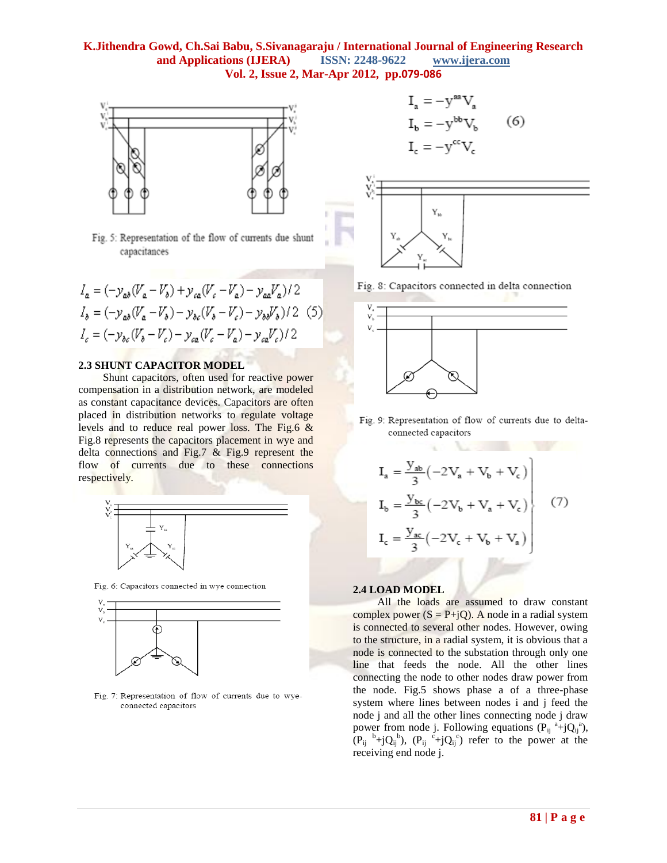

Fig. 5: Representation of the flow of currents due shunt capacitances

$$
I_a = (-y_{ab}(V_a - V_b) + y_{ca}(V_c - V_a) - y_{aa}V_a)/2
$$
  
\n
$$
I_b = (-y_{ab}(V_a - V_b) - y_{bc}(V_b - V_c) - y_{bb}V_b)/2
$$
 (5)  
\n
$$
I_c = (-y_{bc}(V_b - V_c) - y_{ca}(V_c - V_a) - y_{ca}V_c)/2
$$

#### **2.3 SHUNT CAPACITOR MODEL**

Shunt capacitors, often used for reactive power compensation in a distribution network, are modeled as constant capacitance devices. Capacitors are often placed in distribution networks to regulate voltage levels and to reduce real power loss. The Fig.6 & Fig.8 represents the capacitors placement in wye and delta connections and Fig.7 & Fig.9 represent the flow of currents due to these connections respectively.



Fig. 6: Capacitors connected in wye connection



Fig. 7: Representation of flow of currents due to wyeconnected capacitors

$$
I_a = -y^{aa}V_a
$$
  
\n
$$
I_b = -y^{bb}V_b
$$
 (6)  
\n
$$
I_c = -y^{cc}V_c
$$



Fig. 8: Capacitors connected in delta connection



Fig. 9: Representation of flow of currents due to deltaconnected capacitors

ú.

$$
I_{a} = \frac{y_{ab}}{3} \left( -2V_{a} + V_{b} + V_{c} \right)
$$
  
\n
$$
I_{b} = \frac{y_{bc}}{3} \left( -2V_{b} + V_{a} + V_{c} \right)
$$
  
\n
$$
I_{c} = \frac{y_{ac}}{3} \left( -2V_{c} + V_{b} + V_{a} \right)
$$
\n(7)

#### **2.4 LOAD MODEL**

All the loads are assumed to draw constant complex power  $(S = P+iQ)$ . A node in a radial system is connected to several other nodes. However, owing to the structure, in a radial system, it is obvious that a node is connected to the substation through only one line that feeds the node. All the other lines connecting the node to other nodes draw power from the node. Fig.5 shows phase a of a three-phase system where lines between nodes i and j feed the node j and all the other lines connecting node j draw power from node j. Following equations  $(P_{ij}^a + jQ_{ij}^a)$ ,  $(P_{ij}^{\quad b}+jQ_{ij}^{\quad b}), (P_{ij}^{\quad c}+jQ_{ij}^{\quad c})$  refer to the power at the receiving end node j.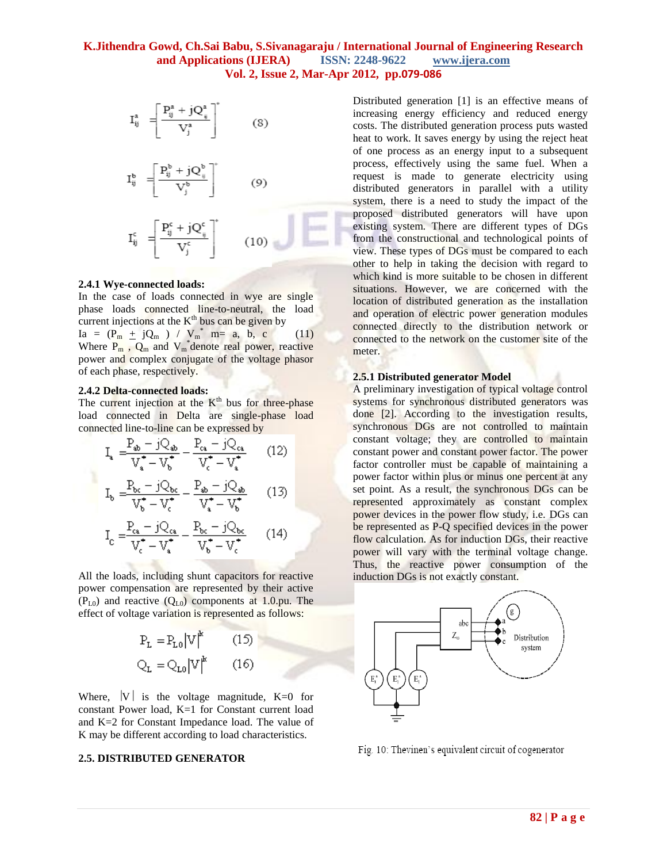$$
I_{ij}^a = \left[ \frac{P_{ij}^a + jQ_{ij}^a}{V_j^a} \right]^* \qquad (8)
$$

$$
\mathbf{I}_{ij}^{\mathbf{b}} = \left| \frac{\mathbf{P}_{ij}^{\circ} + j\mathbf{Q}_{ij}^{\circ}}{\mathbf{x}^{r\mathbf{b}}} \right| \tag{9}
$$

$$
I_{ij}^c = \left[ \frac{P_{ij}^c + jQ_{ij}^c}{V_j^c} \right]^* \qquad (10)
$$

#### **2.4.1 Wye-connected loads:**

In the case of loads connected in wye are single phase loads connected line-to-neutral, the load current injections at the  $K<sup>th</sup>$  bus can be given by  $Ia = (P_m \pm jQ_m) / V_m^*$  m= a, b, c (11) Where  $P_m$ ,  $Q_m$  and  $V_m^*$  denote real power, reactive power and complex conjugate of the voltage phasor of each phase, respectively.

#### **2.4.2 Delta-connected loads:**

 $\overline{\tau r^* - \tau r^*}$ 

The current injection at the  $K<sup>th</sup>$  bus for three-phase load connected in Delta are single-phase load connected line-to-line can be expressed by

$$
I_{a} = \frac{P_{ab} - jQ_{ab}}{V_{a}^{*} - V_{b}^{*}} - \frac{P_{ca} - jQ_{ca}}{V_{c}^{*} - V_{a}^{*}}
$$
 (12)  

$$
I_{a} = \frac{P_{bc} - jQ_{bc}}{V_{ac}^{*} - V_{ab}^{*}} - \frac{P_{ab} - jQ_{ab}}{V_{ca}^{*} - V_{a}^{*}}
$$
 (13)

$$
I_{c} = \frac{P_{ca} - jQ_{ca}}{V_{c}^{*} - V_{c}^{*}} - \frac{P_{bc} - jQ_{bc}}{V_{c}^{*} - V_{c}^{*}} \qquad (14)
$$

All the loads, including shunt capacitors for reactive power compensation are represented by their active  $(P_{L0})$  and reactive  $(Q_{L0})$  components at 1.0.pu. The effect of voltage variation is represented as follows:

$$
P_{L} = P_{L0} |V|^{k} \qquad (15)
$$

$$
Q_{L} = Q_{L0} |V|^{k} \qquad (16)
$$

Where,  $|V|$  is the voltage magnitude,  $K=0$  for constant Power load, K=1 for Constant current load and K=2 for Constant Impedance load. The value of K may be different according to load characteristics.

#### **2.5. DISTRIBUTED GENERATOR**

Distributed generation [1] is an effective means of increasing energy efficiency and reduced energy costs. The distributed generation process puts wasted heat to work. It saves energy by using the reject heat of one process as an energy input to a subsequent process, effectively using the same fuel. When a request is made to generate electricity using distributed generators in parallel with a utility system, there is a need to study the impact of the proposed distributed generators will have upon existing system. There are different types of DGs from the constructional and technological points of view. These types of DGs must be compared to each other to help in taking the decision with regard to which kind is more suitable to be chosen in different situations. However, we are concerned with the location of distributed generation as the installation and operation of electric power generation modules connected directly to the distribution network or connected to the network on the customer site of the meter.

#### **2.5.1 Distributed generator Model**

A preliminary investigation of typical voltage control systems for synchronous distributed generators was done [2]. According to the investigation results, synchronous DGs are not controlled to maintain constant voltage; they are controlled to maintain constant power and constant power factor. The power factor controller must be capable of maintaining a power factor within plus or minus one percent at any set point. As a result, the synchronous DGs can be represented approximately as constant complex power devices in the power flow study, i.e. DGs can be represented as P-Q specified devices in the power flow calculation. As for induction DGs, their reactive power will vary with the terminal voltage change. Thus, the reactive power consumption of the induction DGs is not exactly constant.



Fig. 10: Thevinen's equivalent circuit of cogenerator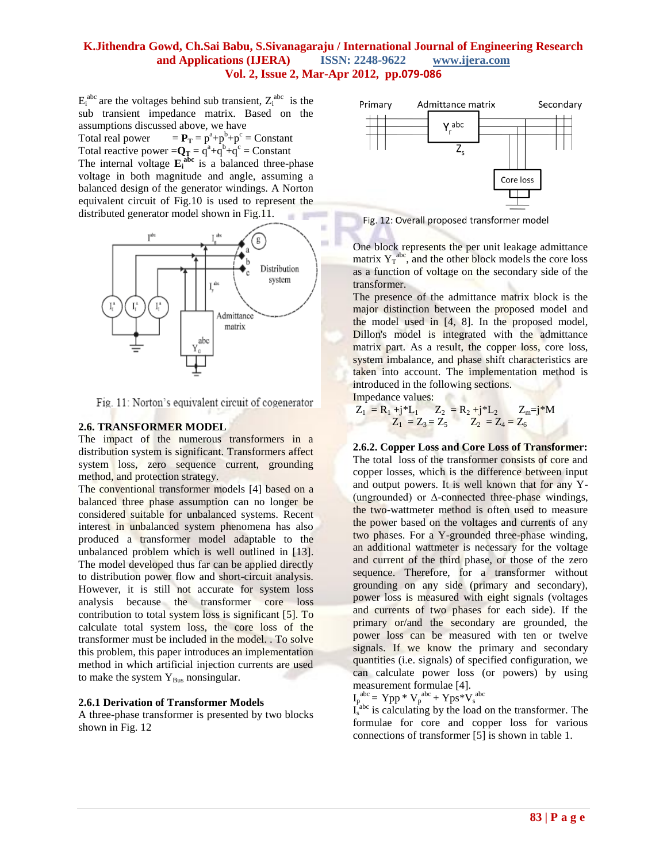$E_i^{abc}$  are the voltages behind sub transient,  $Z_i^{abc}$  is the sub transient impedance matrix. Based on the assumptions discussed above, we have

Total real power  $+p^b+p^c =$ Constant Total reactive power  $= Q_T = q^a + q^b + q^c =$  Constant The internal voltage  $\mathbf{E}_i^{\text{abc}}$  is a balanced three-phase voltage in both magnitude and angle, assuming a balanced design of the generator windings. A Norton equivalent circuit of Fig.10 is used to represent the distributed generator model shown in Fig.11.



Fig. 11: Norton's equivalent circuit of cogenerator

### **2.6. TRANSFORMER MODEL**

The impact of the numerous transformers in a distribution system is significant. Transformers affect system loss, zero sequence current, grounding method, and protection strategy.

The conventional transformer models [4] based on a balanced three phase assumption can no longer be considered suitable for unbalanced systems. Recent interest in unbalanced system phenomena has also produced a transformer model adaptable to the unbalanced problem which is well outlined in [13]. The model developed thus far can be applied directly to distribution power flow and short-circuit analysis. However, it is still not accurate for system loss analysis because the transformer core loss contribution to total system loss is significant [5]. To calculate total system loss, the core loss of the transformer must be included in the model. . To solve this problem, this paper introduces an implementation method in which artificial injection currents are used to make the system  $Y_{Bus}$  nonsingular.

#### **2.6.1 Derivation of Transformer Models**

A three-phase transformer is presented by two blocks shown in Fig. 12



Fig. 12: Overall proposed transformer model

One block represents the per unit leakage admittance matrix  $Y_T^{abc}$ , and the other block models the core loss as a function of voltage on the secondary side of the transformer.

The presence of the admittance matrix block is the major distinction between the proposed model and the model used in [4, 8]. In the proposed model, Dillon's model is integrated with the admittance matrix part. As a result, the copper loss, core loss, system imbalance, and phase shift characteristics are taken into account. The implementation method is introduced in the following sections. Po Ar

Impedance values:

$$
Z_1 = R_1 + j^* L_1 \t Z_2 = R_2 + j^* L_2 \t Z_m = j^* M
$$
  

$$
Z_1 = Z_3 = Z_5 \t Z_2 = Z_4 = Z_6
$$

**2.6.2. Copper Loss and Core Loss of Transformer:** The total loss of the transformer consists of core and copper losses, which is the difference between input and output powers. It is well known that for any Y- (ungrounded) or ∆-connected three-phase windings, the two-wattmeter method is often used to measure the power based on the voltages and currents of any two phases. For a Y-grounded three-phase winding, an additional wattmeter is necessary for the voltage and current of the third phase, or those of the zero sequence. Therefore, for a transformer without grounding on any side (primary and secondary), power loss is measured with eight signals (voltages and currents of two phases for each side). If the primary or/and the secondary are grounded, the power loss can be measured with ten or twelve signals. If we know the primary and secondary quantities (i.e. signals) of specified configuration, we can calculate power loss (or powers) by using measurement formulae [4].

$$
I_p^{abc} = Ypp * V_p^{abc} + Yps * V_s^{abc}
$$

 $I_s^{\text{abc}}$  is calculating by the load on the transformer. The formulae for core and copper loss for various connections of transformer [5] is shown in table 1.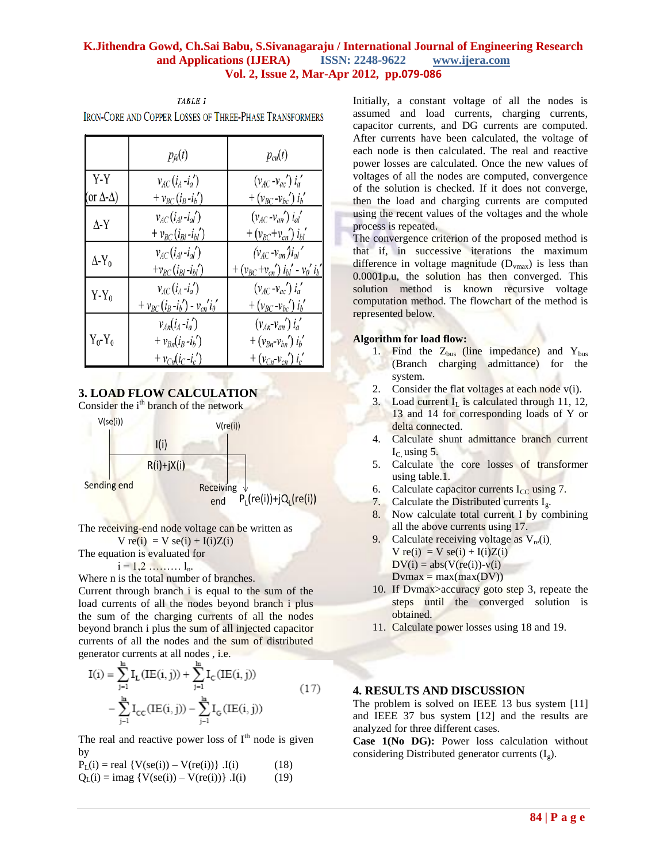|                           | $p_{\text{fe}}(t)$                   | $p_{cu}(t)$                                                                    |
|---------------------------|--------------------------------------|--------------------------------------------------------------------------------|
| Y-Y                       | $v_{AC}(i_A - i_a')$                 | $(v_{AC} - v_{ac}')$ $i'_a$                                                    |
| (or $\Delta$ - $\Delta$ ) | + $v_{BC}(i_B-i_b')$                 | $+(v_{BC}-v_{bc}')i'_{b}$                                                      |
| $\Delta$ -Y               | $v_{AC}(i_{Al}-i_{al})$              | $(v_{AC} - v_{an})$ $i_{al}'$                                                  |
|                           | $+v_{BC}(i_{Bl}$ - $i_{bl}$ ')       | $+(v_{BC}+v_{cn}) i_{bi}^{\prime}$                                             |
| $\Delta$ -Y <sub>0</sub>  | $v_{AC}(i_{Al}-i_{al})$              | $(v_{AC} - v_{an})i_{al}$                                                      |
|                           | $+v_{BC}(i_{Bl}$ - $i_{bl}$ ')       | + $(v_{BC} + v_{cn}^{\prime}) i_{bl}^{\prime} - v_{0}^{\prime} i_{b}^{\prime}$ |
| $Y-Y_0$                   | $v_{AC}(i_A - i'_a)$                 | $(v_{AC} - v_{ac}')$ $i'_a$                                                    |
|                           | + $v_{BC}(i_B - i_b') - v_{cn}'i_0'$ | $+ (v_{BC} - v_{bc}) i_b'$                                                     |
| $Y_0$ - $Y_0$             | $v_{An}(i_A - i_a)$                  | $(v_{An}v_{an})i'_a$                                                           |
|                           | $+ v_{Bn}(i_B - i_b)$                | + $(v_{Bn} - v_{bn}) i'_{b}$                                                   |
|                           | + $v_{Cn}(i_C - i_c)$                | + $(v_{Cn}$ - $v_{cn}^{\prime}) i_{c}^{\prime}$                                |

**IRON-CORE AND COPPER LOSSES OF THREE-PHASE TRANSFORMERS** 

TABLE 1

## **3. LOAD FLOW CALCULATION**

Consider the i<sup>th</sup> branch of the network



The receiving-end node voltage can be written as

 $V$  re(i) =  $V$  se(i) + I(i)Z(i) The equation is evaluated for

 $i = 1, 2, \ldots, \ldots, l_n$ .

Where n is the total number of branches.

Current through branch i is equal to the sum of the load currents of all the nodes beyond branch i plus the sum of the charging currents of all the nodes beyond branch i plus the sum of all injected capacitor currents of all the nodes and the sum of distributed generator currents at all nodes , i.e.

$$
I(i) = \sum_{j=1}^{m} I_{L}(IE(i, j)) + \sum_{j=1}^{m} I_{C}(IE(i, j))
$$
  
- 
$$
\sum_{j=1}^{m} I_{CC}(IE(i, j)) - \sum_{j=1}^{m} I_{G}(IE(i, j))
$$
 (17)

The real and reactive power loss of  $I<sup>th</sup>$  node is given by

 $P_{L}(i) = real \{ V(se(i)) - V(re(i)) \}$ . I(i) (18)  $Q_{I}(i) = \text{imag } \{ V(\text{se}(i)) - V(\text{re}(i)) \}$ . I(i) (19)

Initially, a constant voltage of all the nodes is assumed and load currents, charging currents, capacitor currents, and DG currents are computed. After currents have been calculated, the voltage of each node is then calculated. The real and reactive power losses are calculated. Once the new values of voltages of all the nodes are computed, convergence of the solution is checked. If it does not converge, then the load and charging currents are computed using the recent values of the voltages and the whole process is repeated.

The convergence criterion of the proposed method is that if, in successive iterations the maximum difference in voltage magnitude  $(D_{vmax})$  is less than 0.0001p.u, the solution has then converged. This solution method is known recursive voltage computation method. The flowchart of the method is represented below.

#### **Algorithm for load flow:**

- 1. Find the  $Z_{bus}$  (line impedance) and  $Y_{bus}$ (Branch charging admittance) for the system.
- 2. Consider the flat voltages at each node  $v(i)$ .
- 3. Load current  $I_L$  is calculated through 11, 12, 13 and 14 for corresponding loads of Y or delta connected.
- 4. Calculate shunt admittance branch current  $I<sub>C</sub>$  using 5.
- 5. Calculate the core losses of transformer using table.1.
- 6. Calculate capacitor currents  $I_{CC}$  using 7.
- 7. Calculate the Distributed currents  $I_{\nu}$ .
- 8. Now calculate total current I by combining all the above currents using 17.
- 9. Calculate receiving voltage as  $V_{re}(i)$ ,  $V$  re(i) =  $V$  se(i) + I(i)Z(i)  $DV(i) = abs(V(re(i))-v(i)$  $Dvmax = max(max(DV))$
- 10. If Dvmax>accuracy goto step 3, repeate the steps until the converged solution is obtained.
- 11. Calculate power losses using 18 and 19.

### **4. RESULTS AND DISCUSSION**

The problem is solved on IEEE 13 bus system [11] and IEEE 37 bus system [12] and the results are analyzed for three different cases.

**Case 1(No DG):** Power loss calculation without considering Distributed generator currents  $(I_{\varrho})$ .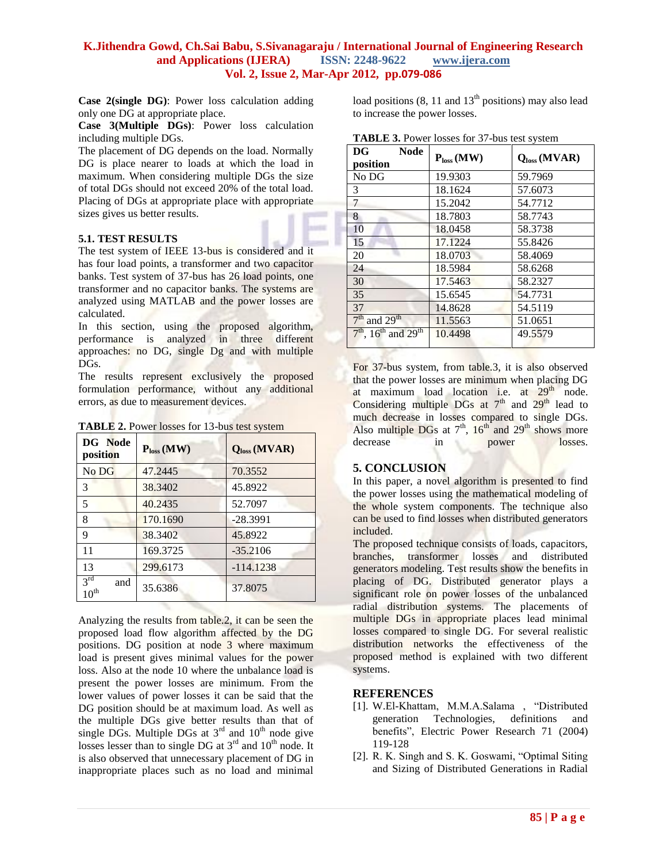**Case 2(single DG)**: Power loss calculation adding only one DG at appropriate place.

**Case 3(Multiple DGs)**: Power loss calculation including multiple DGs.

The placement of DG depends on the load. Normally DG is place nearer to loads at which the load in maximum. When considering multiple DGs the size of total DGs should not exceed 20% of the total load. Placing of DGs at appropriate place with appropriate sizes gives us better results.

### **5.1. TEST RESULTS**

The test system of IEEE 13-bus is considered and it has four load points, a transformer and two capacitor banks. Test system of 37-bus has 26 load points, one transformer and no capacitor banks. The systems are analyzed using MATLAB and the power losses are calculated.

In this section, using the proposed algorithm, performance is analyzed in three different approaches: no DG, single Dg and with multiple DGs.

The results represent exclusively the proposed formulation performance, without any additional errors, as due to measurement devices.

|  | <b>TABLE 2.</b> Power losses for 13-bus test system |
|--|-----------------------------------------------------|
|--|-----------------------------------------------------|

| DG Node<br>position              | $P_{loss}$ (MW) | Q <sub>loss</sub> (MVAR) |  |
|----------------------------------|-----------------|--------------------------|--|
| No DG                            | 47.2445         | 70.3552                  |  |
| $\mathcal{F}$                    | 38.3402         | 45.8922                  |  |
| 5                                | 40.2435         | 52.7097                  |  |
| 8                                | 170.1690        | $-28.3991$               |  |
| 9                                | 38.3402         | 45.8922                  |  |
| 11                               | 169.3725        | $-35.2106$               |  |
| 13                               | 299.6173        | $-114.1238$              |  |
| $3^{rd}$<br>and<br>$10^{\rm th}$ | 35.6386         | 37.8075                  |  |

Analyzing the results from table.2, it can be seen the proposed load flow algorithm affected by the DG positions. DG position at node 3 where maximum load is present gives minimal values for the power loss. Also at the node 10 where the unbalance load is present the power losses are minimum. From the lower values of power losses it can be said that the DG position should be at maximum load. As well as the multiple DGs give better results than that of single DGs. Multiple DGs at  $3<sup>rd</sup>$  and  $10<sup>th</sup>$  node give losses lesser than to single DG at  $3^{rd}$  and  $10^{th}$  node. It is also observed that unnecessary placement of DG in inappropriate places such as no load and minimal

load positions  $(8, 11 \text{ and } 13^{\text{th}} \text{ positions})$  may also lead to increase the power losses.

|  |  |  |  | <b>TABLE 3.</b> Power losses for 37-bus test system |
|--|--|--|--|-----------------------------------------------------|
|--|--|--|--|-----------------------------------------------------|

| DG<br><b>Node</b>                             | $P_{loss}$ (MW) | Q <sub>loss</sub> (MVAR) |  |
|-----------------------------------------------|-----------------|--------------------------|--|
| position                                      |                 |                          |  |
| No DG                                         | 19.9303         | 59.7969                  |  |
| 3                                             | 18.1624         | 57.6073                  |  |
| 7                                             | 15.2042         | 54.7712                  |  |
| 8                                             | 18.7803         | 58.7743                  |  |
| 10                                            | 18.0458         | 58.3738                  |  |
| 15                                            | 17.1224         | 55.8426                  |  |
| 20                                            | 18.0703         | 58.4069                  |  |
| 24                                            | 18.5984         | 58.6268                  |  |
| 30                                            | 17.5463         | 58.2327                  |  |
| 35                                            | 15.6545         | 54.7731                  |  |
| 37                                            | 14.8628         | 54.5119                  |  |
| $7th$ and $29th$                              | 11.5563         | 51.0651                  |  |
| $7th$ , 16 <sup>th</sup> and 29 <sup>th</sup> | 10.4498         | 49.5579                  |  |

For 37-bus system, from table.3, it is also observed that the power losses are minimum when placing DG at maximum load location i.e. at  $29<sup>th</sup>$  node. Considering multiple DGs at  $7<sup>th</sup>$  and  $29<sup>th</sup>$  lead to much decrease in losses compared to single DGs. Also multiple DGs at  $7<sup>th</sup>$ ,  $16<sup>th</sup>$  and  $29<sup>th</sup>$  shows more decrease in power losses.

## **5. CONCLUSION**

In this paper, a novel algorithm is presented to find the power losses using the mathematical modeling of the whole system components. The technique also can be used to find losses when distributed generators included.

The proposed technique consists of loads, capacitors, branches, transformer losses and distributed generators modeling. Test results show the benefits in placing of DG. Distributed generator plays a significant role on power losses of the unbalanced radial distribution systems. The placements of multiple DGs in appropriate places lead minimal losses compared to single DG. For several realistic distribution networks the effectiveness of the proposed method is explained with two different systems.

## **REFERENCES**

- [1]. W.El-Khattam, M.M.A.Salama , "Distributed generation Technologies, definitions and benefits", Electric Power Research 71 (2004) 119-128
- [2]. R. K. Singh and S. K. Goswami, "Optimal Siting and Sizing of Distributed Generations in Radial